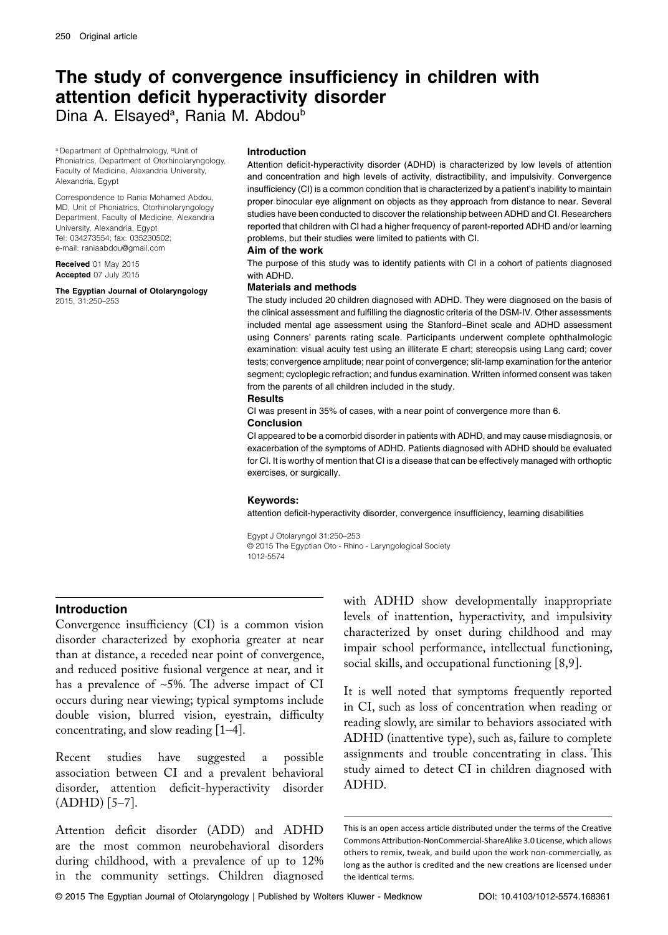# **The study of convergence insufficiency in children with** attention deficit hyperactivity disorder

Dina A. Elsayed<sup>a</sup>, Rania M. Abdou<sup>b</sup>

a Department of Ophthalmology, bUnit of Phoniatrics, Department of Otorhinolaryngology, Faculty of Medicine, Alexandria University, Alexandria, Egypt

Correspondence to Rania Mohamed Abdou, MD, Unit of Phoniatrics, Otorhinolaryngology Department, Faculty of Medicine, Alexandria University, Alexandria, Egypt Tel: 034273554; fax: 035230502; e-mail: raniaabdou@gmail.com

**Received** 01 May 2015 **Accepted** 07 July 2015

**The Egyptian Journal of Otolaryngology** 2015, 31:250–253

## **Introduction**

Attention deficit-hyperactivity disorder (ADHD) is characterized by low levels of attention and concentration and high levels of activity, distractibility, and impulsivity. Convergence insufficiency (CI) is a common condition that is characterized by a patient's inability to maintain proper binocular eye alignment on objects as they approach from distance to near. Several studies have been conducted to discover the relationship between ADHD and CI. Researchers reported that children with CI had a higher frequency of parent-reported ADHD and/or learning problems, but their studies were limited to patients with CI.

## **Aim of the work**

The purpose of this study was to identify patients with CI in a cohort of patients diagnosed with ADHD.

## **Materials and methods**

The study included 20 children diagnosed with ADHD. They were diagnosed on the basis of the clinical assessment and fulfilling the diagnostic criteria of the DSM-IV. Other assessments included mental age assessment using the Stanford-Binet scale and ADHD assessment using Conners' parents rating scale. Participants underwent complete ophthalmologic examination: visual acuity test using an illiterate E chart; stereopsis using Lang card; cover tests; convergence amplitude; near point of convergence; slit-lamp examination for the anterior segment; cycloplegic refraction; and fundus examination. Written informed consent was taken from the parents of all children included in the study.

## **Results**

CI was present in 35% of cases, with a near point of convergence more than 6. **Conclusion** 

CI appeared to be a comorbid disorder in patients with ADHD, and may cause misdiagnosis, or exacerbation of the symptoms of ADHD. Patients diagnosed with ADHD should be evaluated for CI. It is worthy of mention that CI is a disease that can be effectively managed with orthoptic exercises, or surgically.

## Keywords:

attention deficit-hyperactivity disorder, convergence insufficiency, learning disabilities

Egypt J Otolaryngol 31:250–253 © 2015 The Egyptian Oto - Rhino - Laryngological Society 1012-5574

# **Introduction**

Convergence insufficiency (CI) is a common vision disorder characterized by exophoria greater at near than at distance, a receded near point of convergence, and reduced positive fusional vergence at near, and it has a prevalence of  $\sim$ 5%. The adverse impact of CI occurs during near viewing; typical symptoms include double vision, blurred vision, eyestrain, difficulty concentrating, and slow reading [1–4].

Recent studies have suggested a possible association between CI and a prevalent behavioral disorder, attention deficit-hyperactivity disorder (ADHD) [5–7].

Attention deficit disorder (ADD) and ADHD are the most common neurobehavioral disorders during childhood, with a prevalence of up to 12% in the community settings. Children diagnosed

with ADHD show developmentally inappropriate levels of inattention, hyperactivity, and impulsivity characterized by onset during childhood and may impair school performance, intellectual functioning, social skills, and occupational functioning [8,9].

It is well noted that symptoms frequently reported in CI, such as loss of concentration when reading or reading slowly, are similar to behaviors associated with ADHD (inattentive type), such as, failure to complete assignments and trouble concentrating in class. This study aimed to detect CI in children diagnosed with ADHD.

This is an open access article distributed under the terms of the Creative Commons Attribution-NonCommercial-ShareAlike 3.0 License, which allows others to remix, tweak, and build upon the work non-commercially, as long as the author is credited and the new creations are licensed under the identical terms.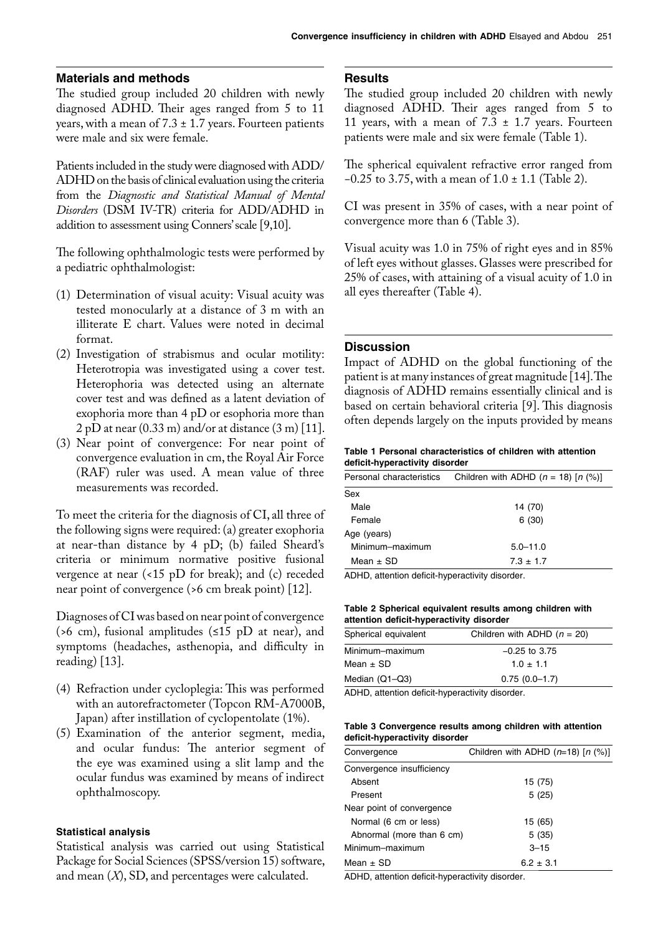# **Materials and methods**

The studied group included 20 children with newly diagnosed ADHD. Their ages ranged from 5 to 11 years, with a mean of  $7.3 \pm 1.7$  years. Fourteen patients were male and six were female.

Patients included in the study were diagnosed with ADD/ ADHD on the basis of clinical evaluation using the criteria from the *Diagnostic and Statistical Manual of Mental Disorders* (DSM IV-TR) criteria for ADD/ADHD in addition to assessment using Conners' scale [9,10].

The following ophthalmologic tests were performed by a pediatric ophthalmologist:

- (1) Determination of visual acuity: Visual acuity was tested monocularly at a distance of 3 m with an illiterate E chart. Values were noted in decimal format.
- (2) Investigation of strabismus and ocular motility: Heterotropia was investigated using a cover test. Heterophoria was detected using an alternate cover test and was defined as a latent deviation of exophoria more than 4 pD or esophoria more than  $2$  pD at near (0.33 m) and/or at distance (3 m) [11].
- (3) Near point of convergence: For near point of convergence evaluation in cm, the Royal Air Force (RAF) ruler was used. A mean value of three measurements was recorded.

To meet the criteria for the diagnosis of CI, all three of the following signs were required: (a) greater exophoria at near-than distance by 4 pD; (b) failed Sheard's criteria or minimum normative positive fusional vergence at near (<15 pD for break); and (c) receded near point of convergence (>6 cm break point) [12].

Diagnoses of CI was based on near point of convergence (*>*6 cm), fusional amplitudes (≤15 pD at near), and symptoms (headaches, asthenopia, and difficulty in reading) [13].

- (4) Refraction under cycloplegia: This was performed with an autorefractometer (Topcon RM-A7000B, Japan) after instillation of cyclopentolate (1%).
- (5) Examination of the anterior segment, media, and ocular fundus: The anterior segment of the eye was examined using a slit lamp and the ocular fundus was examined by means of indirect ophthalmoscopy.

## **Statistical analysis**

Statistical analysis was carried out using Statistical Package for Social Sciences (SPSS/version 15) software, and mean (*X*), SD, and percentages were calculated.

# **Results**

The studied group included 20 children with newly diagnosed ADHD. Their ages ranged from 5 to 11 years, with a mean of  $7.3 \pm 1.7$  years. Fourteen patients were male and six were female (Table 1).

The spherical equivalent refractive error ranged from −0.25 to 3.75, with a mean of 1.0 ± 1.1 (Table 2).

CI was present in 35% of cases, with a near point of convergence more than 6 (Table 3).

Visual acuity was 1.0 in 75% of right eyes and in 85% of left eyes without glasses. Glasses were prescribed for 25% of cases, with attaining of a visual acuity of 1.0 in all eyes thereafter (Table 4).

# **Discussion**

Impact of ADHD on the global functioning of the patient is at many instances of great magnitude [14]. The diagnosis of ADHD remains essentially clinical and is based on certain behavioral criteria [9]. This diagnosis often depends largely on the inputs provided by means

#### **Table 1 Personal characteristics of children with attention** deficit-hyperactivity disorder

| Personal characteristics | Children with ADHD $(n = 18)$ [n $(\%)$ ] |
|--------------------------|-------------------------------------------|
| Sex                      |                                           |
| Male                     | 14 (70)                                   |
| Female                   | 6(30)                                     |
| Age (years)              |                                           |
| Minimum-maximum          | $5.0 - 11.0$                              |
| Mean $\pm$ SD            | $7.3 \pm 1.7$                             |

ADHD, attention deficit-hyperactivity disorder.

## **Table 2 Spherical equivalent results among children with** attention deficit-hyperactivity disorder

| Spherical equivalent | Children with ADHD $(n = 20)$ |
|----------------------|-------------------------------|
| Minimum-maximum      | $-0.25$ to 3.75               |
| Mean $\pm$ SD        | $1.0 \pm 1.1$                 |
| Median (Q1-Q3)       | $0.75(0.0-1.7)$               |
|                      |                               |

ADHD, attention deficit-hyperactivity disorder.

#### **Table 3 Convergence results among children with attention** deficit-hyperactivity disorder

| Convergence               | Children with ADHD $(n=18)$ [n (%)] |  |  |
|---------------------------|-------------------------------------|--|--|
| Convergence insufficiency |                                     |  |  |
| Absent                    | 15 (75)                             |  |  |
| Present                   | 5(25)                               |  |  |
| Near point of convergence |                                     |  |  |
| Normal (6 cm or less)     | 15 (65)                             |  |  |
| Abnormal (more than 6 cm) | 5 (35)                              |  |  |
| Minimum-maximum           | $3 - 15$                            |  |  |
| Mean $\pm$ SD             | $6.2 \pm 3.1$                       |  |  |

ADHD, attention deficit-hyperactivity disorder.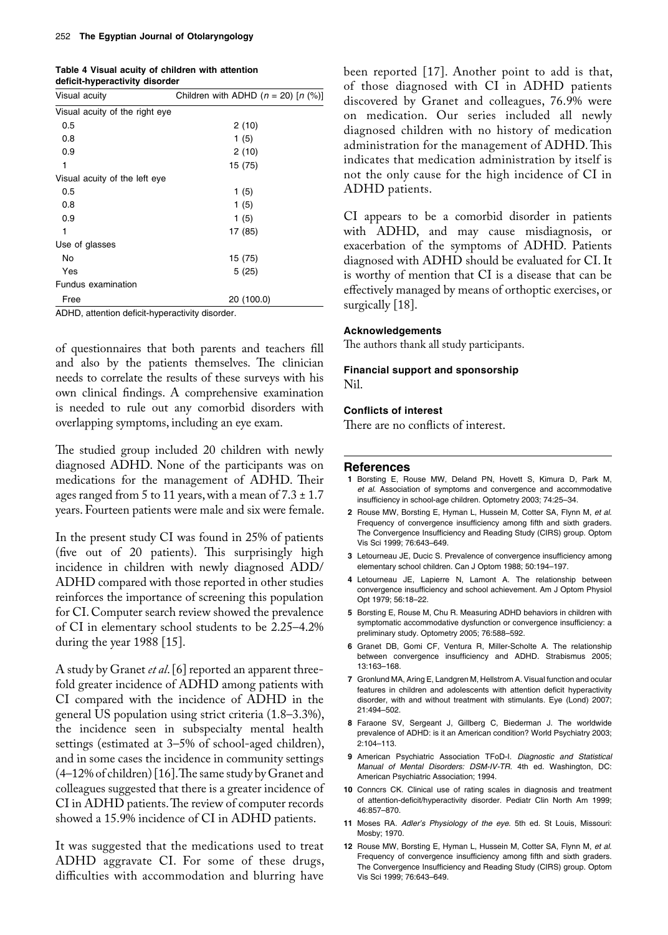| Table 4 Visual acuity of children with attention |  |
|--------------------------------------------------|--|
| deficit-hyperactivity disorder                   |  |

| Visual acuity                  | Children with ADHD $(n = 20)$ [n $(\%)$ ] |
|--------------------------------|-------------------------------------------|
| Visual acuity of the right eye |                                           |
| 0.5                            | 2(10)                                     |
| 0.8                            | 1(5)                                      |
| 0.9                            | 2(10)                                     |
| 1                              | 15 (75)                                   |
| Visual acuity of the left eye  |                                           |
| 0.5                            | 1(5)                                      |
| 0.8                            | 1(5)                                      |
| 0.9                            | 1(5)                                      |
| 1                              | 17 (85)                                   |
| Use of glasses                 |                                           |
| No                             | 15 (75)                                   |
| Yes                            | 5(25)                                     |
| Fundus examination             |                                           |
| Free                           | 20 (100.0)                                |

ADHD, attention deficit-hyperactivity disorder.

of questionnaires that both parents and teachers fill and also by the patients themselves. The clinician needs to correlate the results of these surveys with his own clinical findings. A comprehensive examination is needed to rule out any comorbid disorders with overlapping symptoms, including an eye exam.

The studied group included 20 children with newly diagnosed ADHD. None of the participants was on medications for the management of ADHD. Their ages ranged from 5 to 11 years, with a mean of  $7.3 \pm 1.7$ years. Fourteen patients were male and six were female.

In the present study CI was found in 25% of patients (five out of 20 patients). This surprisingly high incidence in children with newly diagnosed ADD/ ADHD compared with those reported in other studies reinforces the importance of screening this population for CI. Computer search review showed the prevalence of CI in elementary school students to be 2.25–4.2% during the year 1988 [15].

A study by Granet *et al*. [6] reported an apparent threefold greater incidence of ADHD among patients with CI compared with the incidence of ADHD in the general US population using strict criteria (1.8–3.3%), the incidence seen in subspecialty mental health settings (estimated at 3–5% of school-aged children), and in some cases the incidence in community settings (4–12% of children) [16]. The same study by Granet and colleagues suggested that there is a greater incidence of CI in ADHD patients. The review of computer records showed a 15.9% incidence of CI in ADHD patients.

It was suggested that the medications used to treat ADHD aggravate CI. For some of these drugs, difficulties with accommodation and blurring have

been reported [17]. Another point to add is that, of those diagnosed with CI in ADHD patients discovered by Granet and colleagues, 76.9% were on medication. Our series included all newly diagnosed children with no history of medication administration for the management of ADHD. This indicates that medication administration by itself is not the only cause for the high incidence of CI in ADHD patients.

CI appears to be a comorbid disorder in patients with ADHD, and may cause misdiagnosis, or exacerbation of the symptoms of ADHD. Patients diagnosed with ADHD should be evaluated for CI. It is worthy of mention that CI is a disease that can be effectively managed by means of orthoptic exercises, or surgically [18].

## **Acknowledgements**

The authors thank all study participants.

## **Financial support and sponsorship** Nil.

## **Conflicts of interest**

There are no conflicts of interest.

#### **References**

- **1** Borsting E, Rouse MW, Deland PN, Hovett S, Kimura D, Park M, et al. Association of symptoms and convergence and accommodative insufficiency in school-age children. Optometry 2003; 74:25-34.
- **2** Rouse MW, Borsting E, Hyman L, Hussein M, Cotter SA, Flynn M, et al. Frequency of convergence insufficiency among fifth and sixth graders. The Convergence Insufficiency and Reading Study (CIRS) group. Optom Vis Sci 1999; 76:643-649.
- **3** Letourneau JE, Ducic S. Prevalence of convergence insufficiency among elementary school children. Can J Optom 1988; 50:194-197.
- 4 Letourneau JE, Lapierre N, Lamont A. The relationship between convergence insufficiency and school achievement. Am J Optom Physiol Opt 1979; 56:18-22.
- 5 Borsting E, Rouse M, Chu R. Measuring ADHD behaviors in children with symptomatic accommodative dysfunction or convergence insufficiency: a preliminary study. Optometry 2005; 76:588-592.
- **6** Granet DB, Gomi CF, Ventura R, Miller-Scholte A. The relationship between convergence insufficiency and ADHD. Strabismus 2005; 13:163-168
- **7** Gronlund MA, Aring E, Landgren M, Hellstrom A. Visual function and ocular features in children and adolescents with attention deficit hyperactivity disorder, with and without treatment with stimulants. Eye (Lond) 2007; 21:494-502.
- 8 Faraone SV, Sergeant J, Gillberg C, Biederman J. The worldwide prevalence of ADHD: is it an American condition? World Psychiatry 2003;  $2:104 - 113.$
- **9** American Psychiatric Association TFoD-I. Diagnostic and Statistical Manual of Mental Disorders: DSM-IV-TR. 4th ed. Washington, DC: American Psychiatric Association; 1994.
- 10 Conncrs CK. Clinical use of rating scales in diagnosis and treatment of attention-deficit/hyperactivity disorder. Pediatr Clin North Am 1999; 46:857-870.
- 11 Moses RA. Adler's Physiology of the eye. 5th ed. St Louis, Missouri: Mosby; 1970.
- **12** Rouse MW, Borsting E, Hyman L, Hussein M, Cotter SA, Flynn M, et al. Frequency of convergence insufficiency among fifth and sixth graders. The Convergence Insufficiency and Reading Study (CIRS) group. Optom Vis Sci 1999; 76:643-649.